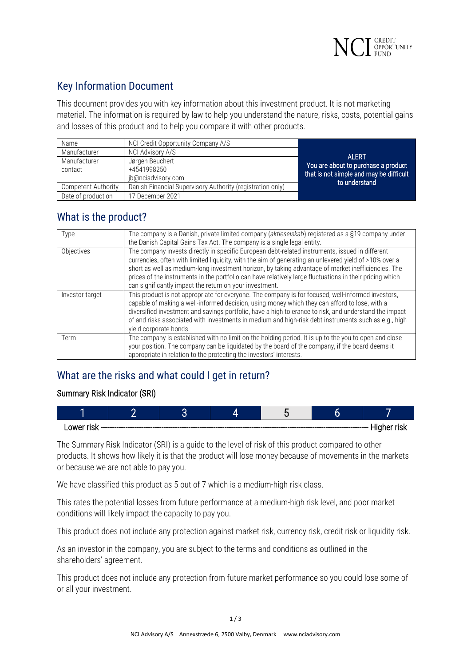

# Key Information Document

This document provides you with key information about this investment product. It is not marketing material. The information is required by law to help you understand the nature, risks, costs, potential gains and losses of this product and to help you compare it with other products.

| Name                    | NCI Credit Opportunity Company A/S                         |                                                                                                 |
|-------------------------|------------------------------------------------------------|-------------------------------------------------------------------------------------------------|
| Manufacturer            | NCI Advisory A/S                                           | <b>ALERT</b>                                                                                    |
| Manufacturer<br>contact | Jørgen Beuchert<br>+4541998250<br>jb@nciadvisory.com       | You are about to purchase a product<br>that is not simple and may be difficult<br>to understand |
| Competent Authority     | Danish Financial Supervisory Authority (registration only) |                                                                                                 |
| Date of production      | 17 December 2021                                           |                                                                                                 |

# What is the product?

| Type            | The company is a Danish, private limited company (aktieselskab) registered as a §19 company under<br>the Danish Capital Gains Tax Act. The company is a single legal entity.                                                                                                                                                                                                                                                                                                           |
|-----------------|----------------------------------------------------------------------------------------------------------------------------------------------------------------------------------------------------------------------------------------------------------------------------------------------------------------------------------------------------------------------------------------------------------------------------------------------------------------------------------------|
| Objectives      | The company invests directly in specific European debt-related instruments, issued in different<br>currencies, often with limited liquidity, with the aim of generating an unlevered yield of >10% over a<br>short as well as medium-long investment horizon, by taking advantage of market inefficiencies. The<br>prices of the instruments in the portfolio can have relatively large fluctuations in their pricing which<br>can significantly impact the return on your investment. |
| Investor target | This product is not appropriate for everyone. The company is for focused, well-informed investors,<br>capable of making a well-informed decision, using money which they can afford to lose, with a<br>diversified investment and savings portfolio, have a high tolerance to risk, and understand the impact<br>of and risks associated with investments in medium and high-risk debt instruments such as e.g., high<br>yield corporate bonds.                                        |
| Term            | The company is established with no limit on the holding period. It is up to the you to open and close<br>your position. The company can be liquidated by the board of the company, if the board deems it<br>appropriate in relation to the protecting the investors' interests.                                                                                                                                                                                                        |

# What are the risks and what could I get in return?

### Summary Risk Indicator (SRI)

| . Higher<br>∩wer<br>'ISK<br>π<br>------------------- |  |  |  |  | חטו |  |
|------------------------------------------------------|--|--|--|--|-----|--|

The Summary Risk Indicator (SRI) is a guide to the level of risk of this product compared to other products. It shows how likely it is that the product will lose money because of movements in the markets or because we are not able to pay you.

We have classified this product as 5 out of 7 which is a medium-high risk class.

This rates the potential losses from future performance at a medium-high risk level, and poor market conditions will likely impact the capacity to pay you.

This product does not include any protection against market risk, currency risk, credit risk or liquidity risk.

As an investor in the company, you are subject to the terms and conditions as outlined in the shareholders' agreement.

This product does not include any protection from future market performance so you could lose some of or all your investment.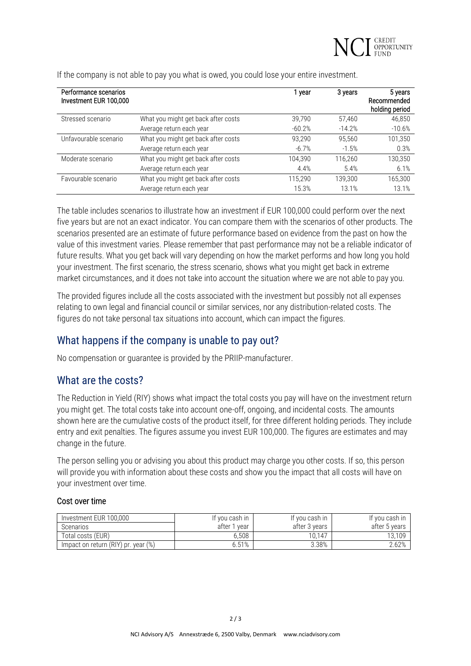

| Performance scenarios<br>Investment EUR 100,000 |                                     | 1 year   | 3 years  | 5 years<br>Recommended<br>holding period |
|-------------------------------------------------|-------------------------------------|----------|----------|------------------------------------------|
| Stressed scenario                               | What you might get back after costs | 39.790   | 57,460   | 46,850                                   |
|                                                 | Average return each year            | $-60.2%$ | $-14.2%$ | $-10.6%$                                 |
| Unfavourable scenario                           | What you might get back after costs | 93.290   | 95.560   | 101,350                                  |
|                                                 | Average return each year            | $-6.7%$  | $-1.5%$  | 0.3%                                     |
| Moderate scenario                               | What you might get back after costs | 104.390  | 116.260  | 130,350                                  |
|                                                 | Average return each year            | 4.4%     | 5.4%     | 6.1%                                     |
| Favourable scenario                             | What you might get back after costs | 115.290  | 139.300  | 165,300                                  |
|                                                 | Average return each year            | 15.3%    | 13.1%    | 13.1%                                    |

If the company is not able to pay you what is owed, you could lose your entire investment.

The table includes scenarios to illustrate how an investment if EUR 100,000 could perform over the next five years but are not an exact indicator. You can compare them with the scenarios of other products. The scenarios presented are an estimate of future performance based on evidence from the past on how the value of this investment varies. Please remember that past performance may not be a reliable indicator of future results. What you get back will vary depending on how the market performs and how long you hold your investment. The first scenario, the stress scenario, shows what you might get back in extreme market circumstances, and it does not take into account the situation where we are not able to pay you.

The provided figures include all the costs associated with the investment but possibly not all expenses relating to own legal and financial council or similar services, nor any distribution-related costs. The figures do not take personal tax situations into account, which can impact the figures.

## What happens if the company is unable to pay out?

No compensation or guarantee is provided by the PRIIP-manufacturer.

### What are the costs?

The Reduction in Yield (RIY) shows what impact the total costs you pay will have on the investment return you might get. The total costs take into account one-off, ongoing, and incidental costs. The amounts shown here are the cumulative costs of the product itself, for three different holding periods. They include entry and exit penalties. The figures assume you invest EUR 100,000. The figures are estimates and may change in the future.

The person selling you or advising you about this product may charge you other costs. If so, this person will provide you with information about these costs and show you the impact that all costs will have on your investment over time.

#### Cost over time

| Investment EUR 100.000              | If you cash in  | If vou cash in | If you cash in |
|-------------------------------------|-----------------|----------------|----------------|
| Scenarios                           | after 1<br>vear | after 3 vears  | after 5 years  |
| Total costs (EUR)                   | 6.508           | 10.147         | 13.109         |
| Impact on return (RIY) pr. year (%) | 6.51%           | 3.38%          | 2.62%          |